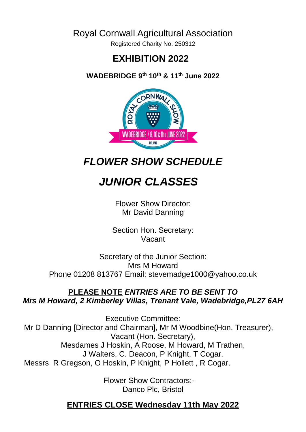#### Royal Cornwall Agricultural Association

Registered Charity No. 250312

#### **EXHIBITION 2022**

**WADEBRIDGE 9th 10th & 11th June 2022**



*FLOWER SHOW SCHEDULE*

 *JUNIOR CLASSES*

Flower Show Director: Mr David Danning

Section Hon. Secretary: Vacant

Secretary of the Junior Section: Mrs M Howard Phone 01208 813767 Email: stevemadge1000@yahoo.co.uk

#### **PLEASE NOTE** *ENTRIES ARE TO BE SENT TO Mrs M Howard, 2 Kimberley Villas, Trenant Vale, Wadebridge,PL27 6AH*

 Executive Committee: Mr D Danning [Director and Chairman], Mr M Woodbine(Hon. Treasurer), Vacant (Hon. Secretary), Mesdames J Hoskin, A Roose, M Howard, M Trathen, J Walters, C. Deacon, P Knight, T Cogar. Messrs R Gregson, O Hoskin, P Knight, P Hollett , R Cogar.

> Flower Show Contractors:- Danco Plc, Bristol

#### **ENTRIES CLOSE Wednesday 11th May 2022**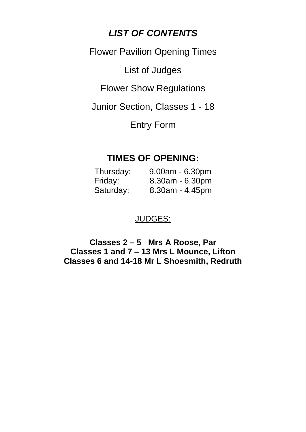#### *LIST OF CONTENTS*

Flower Pavilion Opening Times

List of Judges

Flower Show Regulations

Junior Section, Classes 1 - 18

Entry Form

#### **TIMES OF OPENING:**

| Thursday: | $9.00am - 6.30pm$  |
|-----------|--------------------|
| Friday:   | $8.30am - 6.30pm$  |
| Saturday: | $8.30$ am - 4.45pm |

#### JUDGES:

**Classes 2 – 5 Mrs A Roose, Par Classes 1 and 7 – 13 Mrs L Mounce, Lifton Classes 6 and 14-18 Mr L Shoesmith, Redruth**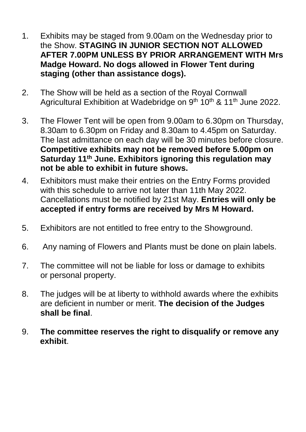- 1. Exhibits may be staged from 9.00am on the Wednesday prior to the Show. **STAGING IN JUNIOR SECTION NOT ALLOWED AFTER 7.00PM UNLESS BY PRIOR ARRANGEMENT WITH Mrs Madge Howard. No dogs allowed in Flower Tent during staging (other than assistance dogs).**
- 2. The Show will be held as a section of the Royal Cornwall Agricultural Exhibition at Wadebridge on 9<sup>th</sup> 10<sup>th</sup> & 11<sup>th</sup> June 2022.
- 3. The Flower Tent will be open from 9.00am to 6.30pm on Thursday, 8.30am to 6.30pm on Friday and 8.30am to 4.45pm on Saturday. The last admittance on each day will be 30 minutes before closure. **Competitive exhibits may not be removed before 5.00pm on Saturday 11th June. Exhibitors ignoring this regulation may not be able to exhibit in future shows.**
- 4. Exhibitors must make their entries on the Entry Forms provided with this schedule to arrive not later than 11th May 2022. Cancellations must be notified by 21st May. **Entries will only be accepted if entry forms are received by Mrs M Howard.**
- 5. Exhibitors are not entitled to free entry to the Showground.
- 6. Any naming of Flowers and Plants must be done on plain labels.
- 7. The committee will not be liable for loss or damage to exhibits or personal property.
- 8. The judges will be at liberty to withhold awards where the exhibits are deficient in number or merit. **The decision of the Judges shall be final**.
- 9. **The committee reserves the right to disqualify or remove any exhibit**.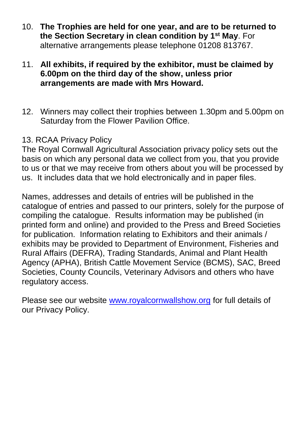- 10. **The Trophies are held for one year, and are to be returned to the Section Secretary in clean condition by 1st May**. For alternative arrangements please telephone 01208 813767.
- 11. **All exhibits, if required by the exhibitor, must be claimed by 6.00pm on the third day of the show, unless prior arrangements are made with Mrs Howard.**
- 12. Winners may collect their trophies between 1.30pm and 5.00pm on Saturday from the Flower Pavilion Office.

#### 13. RCAA Privacy Policy

The Royal Cornwall Agricultural Association privacy policy sets out the basis on which any personal data we collect from you, that you provide to us or that we may receive from others about you will be processed by us. It includes data that we hold electronically and in paper files.

Names, addresses and details of entries will be published in the catalogue of entries and passed to our printers, solely for the purpose of compiling the catalogue. Results information may be published (in printed form and online) and provided to the Press and Breed Societies for publication. Information relating to Exhibitors and their animals / exhibits may be provided to Department of Environment, Fisheries and Rural Affairs (DEFRA), Trading Standards, Animal and Plant Health Agency (APHA), British Cattle Movement Service (BCMS), SAC, Breed Societies, County Councils, Veterinary Advisors and others who have regulatory access.

Please see our website [www.royalcornwallshow.org](http://www.royalcornwallshow.org/) for full details of our Privacy Policy.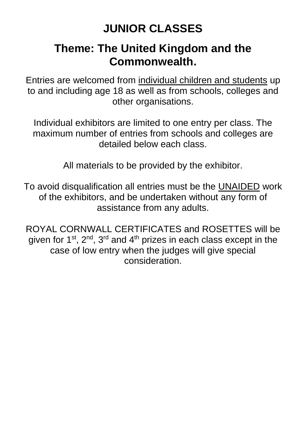# **JUNIOR CLASSES**

# **Theme: The United Kingdom and the Commonwealth.**

Entries are welcomed from individual children and students up to and including age 18 as well as from schools, colleges and other organisations.

Individual exhibitors are limited to one entry per class. The maximum number of entries from schools and colleges are detailed below each class.

All materials to be provided by the exhibitor.

To avoid disqualification all entries must be the UNAIDED work of the exhibitors, and be undertaken without any form of assistance from any adults.

ROYAL CORNWALL CERTIFICATES and ROSETTES will be given for 1<sup>st</sup>, 2<sup>nd</sup>, 3<sup>rd</sup> and 4<sup>th</sup> prizes in each class except in the case of low entry when the judges will give special consideration.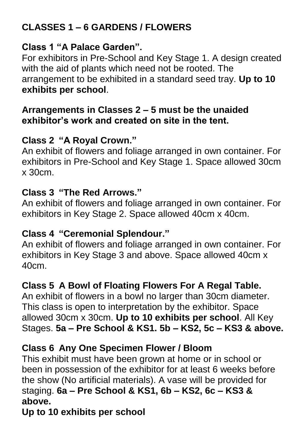# **CLASSES 1 – 6 GARDENS / FLOWERS**

### **Class 1 "A Palace Garden".**

For exhibitors in Pre-School and Key Stage 1. A design created with the aid of plants which need not be rooted. The arrangement to be exhibited in a standard seed tray. **Up to 10 exhibits per school**.

#### **Arrangements in Classes 2 – 5 must be the unaided exhibitor's work and created on site in the tent.**

### **Class 2 "A Royal Crown."**

An exhibit of flowers and foliage arranged in own container. For exhibitors in Pre-School and Key Stage 1. Space allowed 30cm  $x$  30 $cm$ 

### **Class 3 "The Red Arrows."**

An exhibit of flowers and foliage arranged in own container. For exhibitors in Key Stage 2. Space allowed 40cm x 40cm.

#### **Class 4 "Ceremonial Splendour."**

An exhibit of flowers and foliage arranged in own container. For exhibitors in Key Stage 3 and above. Space allowed 40cm x 40cm.

# **Class 5 A Bowl of Floating Flowers For A Regal Table.**

An exhibit of flowers in a bowl no larger than 30cm diameter. This class is open to interpretation by the exhibitor. Space allowed 30cm x 30cm. **Up to 10 exhibits per school**. All Key Stages. **5a – Pre School & KS1. 5b – KS2, 5c – KS3 & above.**

### **Class 6 Any One Specimen Flower / Bloom**

This exhibit must have been grown at home or in school or been in possession of the exhibitor for at least 6 weeks before the show (No artificial materials). A vase will be provided for staging. **6a – Pre School & KS1, 6b – KS2, 6c – KS3 & above.**

### **Up to 10 exhibits per school**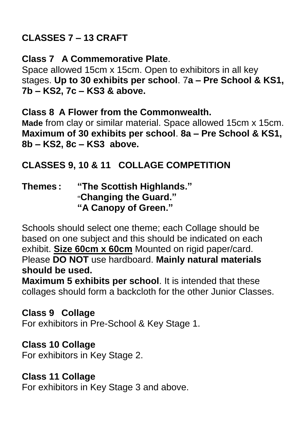# **CLASSES 7 – 13 CRAFT**

### **Class 7 A Commemorative Plate**.

Space allowed 15cm x 15cm. Open to exhibitors in all key stages. **Up to 30 exhibits per school**. 7**a – Pre School & KS1, 7b – KS2, 7c – KS3 & above.**

#### **Class 8 A Flower from the Commonwealth.**

**Made** from clay or similar material. Space allowed 15cm x 15cm. **Maximum of 30 exhibits per school**. **8a – Pre School & KS1, 8b – KS2, 8c – KS3 above.**

# **CLASSES 9, 10 & 11 COLLAGE COMPETITION**

#### **Themes : "The Scottish Highlands." "Changing the Guard." "A Canopy of Green."**

Schools should select one theme; each Collage should be based on one subject and this should be indicated on each exhibit. **Size 60cm x 60cm** Mounted on rigid paper/card. Please **DO NOT** use hardboard. **Mainly natural materials should be used.**

**Maximum 5 exhibits per school**. It is intended that these collages should form a backcloth for the other Junior Classes.

### **Class 9 Collage**

For exhibitors in Pre-School & Key Stage 1.

# **Class 10 Collage**

For exhibitors in Key Stage 2.

# **Class 11 Collage**

For exhibitors in Key Stage 3 and above.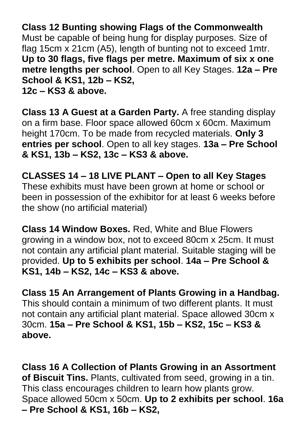**Class 12 Bunting showing Flags of the Commonwealth** Must be capable of being hung for display purposes. Size of flag 15cm x 21cm (A5), length of bunting not to exceed 1mtr. **Up to 30 flags, five flags per metre. Maximum of six x one metre lengths per school**. Open to all Key Stages. **12a – Pre School & KS1, 12b – KS2, 12c – KS3 & above.**

**Class 13 A Guest at a Garden Party.** A free standing display on a firm base. Floor space allowed 60cm x 60cm. Maximum height 170cm. To be made from recycled materials. **Only 3 entries per school**. Open to all key stages. **13a – Pre School & KS1, 13b – KS2, 13c – KS3 & above.**

**CLASSES 14 – 18 LIVE PLANT – Open to all Key Stages** These exhibits must have been grown at home or school or been in possession of the exhibitor for at least 6 weeks before the show (no artificial material)

**Class 14 Window Boxes.** Red, White and Blue Flowers growing in a window box, not to exceed 80cm x 25cm. It must not contain any artificial plant material. Suitable staging will be provided. **Up to 5 exhibits per school**. **14a – Pre School & KS1, 14b – KS2, 14c – KS3 & above.**

**Class 15 An Arrangement of Plants Growing in a Handbag.**  This should contain a minimum of two different plants. It must not contain any artificial plant material. Space allowed 30cm x 30cm. **15a – Pre School & KS1, 15b – KS2, 15c – KS3 & above.**

**Class 16 A Collection of Plants Growing in an Assortment of Biscuit Tins.** Plants, cultivated from seed, growing in a tin. This class encourages children to learn how plants grow. Space allowed 50cm x 50cm. **Up to 2 exhibits per school**. **16a – Pre School & KS1, 16b – KS2,**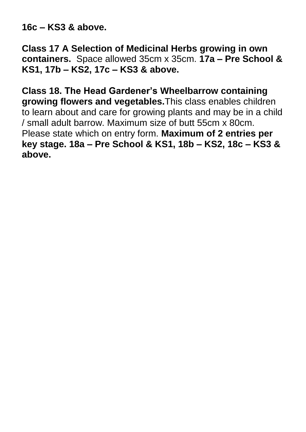**16c – KS3 & above.**

**Class 17 A Selection of Medicinal Herbs growing in own containers.** Space allowed 35cm x 35cm. **17a – Pre School & KS1, 17b – KS2, 17c – KS3 & above.**

**Class 18. The Head Gardener's Wheelbarrow containing growing flowers and vegetables.**This class enables children to learn about and care for growing plants and may be in a child / small adult barrow. Maximum size of butt 55cm x 80cm. Please state which on entry form. **Maximum of 2 entries per key stage. 18a – Pre School & KS1, 18b – KS2, 18c – KS3 & above.**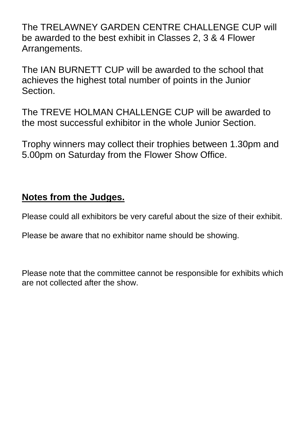The TRELAWNEY GARDEN CENTRE CHALLENGE CUP will be awarded to the best exhibit in Classes 2, 3 & 4 Flower Arrangements.

The IAN BURNETT CUP will be awarded to the school that achieves the highest total number of points in the Junior Section.

The TREVE HOLMAN CHALLENGE CUP will be awarded to the most successful exhibitor in the whole Junior Section.

Trophy winners may collect their trophies between 1.30pm and 5.00pm on Saturday from the Flower Show Office.

#### **Notes from the Judges.**

Please could all exhibitors be very careful about the size of their exhibit.

Please be aware that no exhibitor name should be showing.

Please note that the committee cannot be responsible for exhibits which are not collected after the show.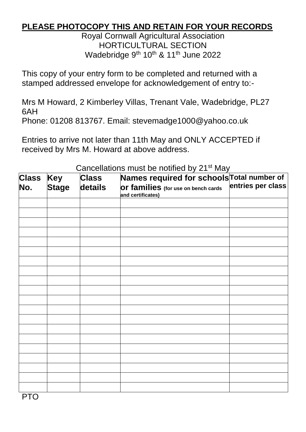#### **PLEASE PHOTOCOPY THIS AND RETAIN FOR YOUR RECORDS**

Royal Cornwall Agricultural Association HORTICULTURAL SECTION Wadebridge 9<sup>th</sup> 10<sup>th</sup> & 11<sup>th</sup> June 2022

This copy of your entry form to be completed and returned with a stamped addressed envelope for acknowledgement of entry to:-

Mrs M Howard, 2 Kimberley Villas, Trenant Vale, Wadebridge, PL27 6AH

Phone: 01208 813767. Email: stevemadge1000@yahoo.co.uk

Entries to arrive not later than 11th May and ONLY ACCEPTED if received by Mrs M. Howard at above address.

| <b>Class</b> | Key          | <b>Class</b> | Names required for schools Total number of               |                   |
|--------------|--------------|--------------|----------------------------------------------------------|-------------------|
| No.          | <b>Stage</b> | details      | Or families (for use on bench cards<br>and certificates) | entries per class |
|              |              |              |                                                          |                   |
|              |              |              |                                                          |                   |
|              |              |              |                                                          |                   |
|              |              |              |                                                          |                   |
|              |              |              |                                                          |                   |
|              |              |              |                                                          |                   |
|              |              |              |                                                          |                   |
|              |              |              |                                                          |                   |
|              |              |              |                                                          |                   |
|              |              |              |                                                          |                   |
|              |              |              |                                                          |                   |
|              |              |              |                                                          |                   |
|              |              |              |                                                          |                   |
|              |              |              |                                                          |                   |
|              |              |              |                                                          |                   |
|              |              |              |                                                          |                   |
|              |              |              |                                                          |                   |
|              |              |              |                                                          |                   |
|              |              |              |                                                          |                   |
|              |              |              |                                                          |                   |

#### Cancellations must be notified by 21st May